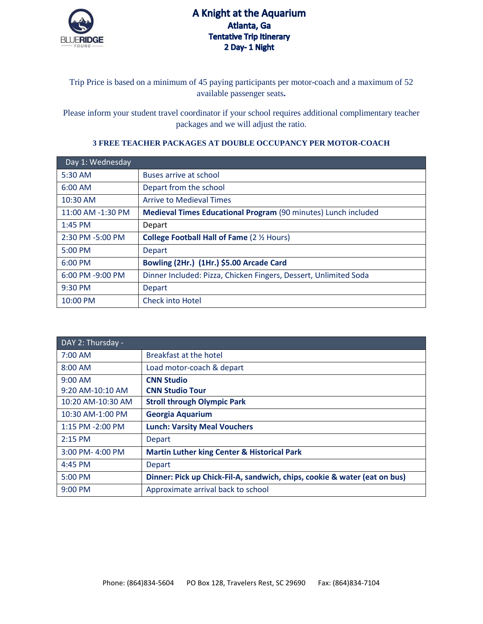

Trip Price is based on a minimum of 45 paying participants per motor-coach and a maximum of 52 available passenger seats**.**

Please inform your student travel coordinator if your school requires additional complimentary teacher packages and we will adjust the ratio.

## **3 FREE TEACHER PACKAGES AT DOUBLE OCCUPANCY PER MOTOR-COACH**

| Day 1: Wednesday  |                                                                  |
|-------------------|------------------------------------------------------------------|
| 5:30 AM           | Buses arrive at school                                           |
| $6:00$ AM         | Depart from the school                                           |
| 10:30 AM          | <b>Arrive to Medieval Times</b>                                  |
| 11:00 AM -1:30 PM | Medieval Times Educational Program (90 minutes) Lunch included   |
| $1:45$ PM         | Depart                                                           |
| 2:30 PM -5:00 PM  | <b>College Football Hall of Fame (2 1/2 Hours)</b>               |
| 5:00 PM           | <b>Depart</b>                                                    |
| $6:00$ PM         | Bowling (2Hr.) (1Hr.) \$5.00 Arcade Card                         |
| 6:00 PM -9:00 PM  | Dinner Included: Pizza, Chicken Fingers, Dessert, Unlimited Soda |
| 9:30 PM           | <b>Depart</b>                                                    |
| 10:00 PM          | <b>Check into Hotel</b>                                          |

| DAY 2: Thursday -  |                                                                           |
|--------------------|---------------------------------------------------------------------------|
| 7:00 AM            | Breakfast at the hotel                                                    |
| $8:00$ AM          | Load motor-coach & depart                                                 |
| $9:00$ AM          | <b>CNN Studio</b>                                                         |
| $9:20$ AM-10:10 AM | <b>CNN Studio Tour</b>                                                    |
| 10:20 AM-10:30 AM  | <b>Stroll through Olympic Park</b>                                        |
| 10:30 AM-1:00 PM   | <b>Georgia Aquarium</b>                                                   |
| 1:15 PM -2:00 PM   | <b>Lunch: Varsity Meal Vouchers</b>                                       |
| $2:15$ PM          | <b>Depart</b>                                                             |
| 3:00 PM-4:00 PM    | <b>Martin Luther king Center &amp; Historical Park</b>                    |
| $4:45$ PM          | <b>Depart</b>                                                             |
| 5:00 PM            | Dinner: Pick up Chick-Fil-A, sandwich, chips, cookie & water (eat on bus) |
| $9:00$ PM          | Approximate arrival back to school                                        |